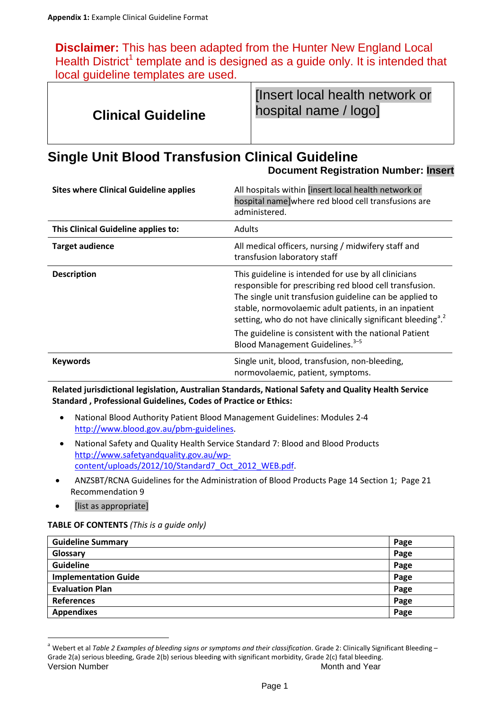**Disclaimer:** This has been adapted from the Hunter New England Local Health District<sup>1</sup> template and is designed as a quide only. It is intended that local guideline templates are used.

| <b>Clinical Guideline</b> | [Insert local health network or<br>hospital name / logo] |
|---------------------------|----------------------------------------------------------|
|---------------------------|----------------------------------------------------------|

# **Single Unit Blood Transfusion Clinical Guideline**

**Document Registration Number: Insert**

| <b>Sites where Clinical Guideline applies</b> | All hospitals within [insert local health network or<br>hospital name]where red blood cell transfusions are<br>administered.                                                                                                                                                                                   |
|-----------------------------------------------|----------------------------------------------------------------------------------------------------------------------------------------------------------------------------------------------------------------------------------------------------------------------------------------------------------------|
| This Clinical Guideline applies to:           | <b>Adults</b>                                                                                                                                                                                                                                                                                                  |
| <b>Target audience</b>                        | All medical officers, nursing / midwifery staff and<br>transfusion laboratory staff                                                                                                                                                                                                                            |
| <b>Description</b>                            | This guideline is intended for use by all clinicians<br>responsible for prescribing red blood cell transfusion.<br>The single unit transfusion guideline can be applied to<br>stable, normovolaemic adult patients, in an inpatient<br>setting, who do not have clinically significant bleeding <sup>a 2</sup> |
|                                               | The guideline is consistent with the national Patient<br>Blood Management Guidelines. <sup>3-5</sup>                                                                                                                                                                                                           |
| <b>Keywords</b>                               | Single unit, blood, transfusion, non-bleeding,<br>normovolaemic, patient, symptoms.                                                                                                                                                                                                                            |

**Related jurisdictional legislation, Australian Standards, National Safety and Quality Health Service Standard , Professional Guidelines, Codes of Practice or Ethics:**

- National Blood Authority Patient Blood Management Guidelines: Modules 2-4 [http://www.blood.gov.au/pbm-guidelines.](http://www.blood.gov.au/pbm-guidelines)
- National Safety and Quality Health Service Standard 7: Blood and Blood Products [http://www.safetyandquality.gov.au/wp](http://www.safetyandquality.gov.au/wp-content/uploads/2012/10/Standard7_Oct_2012_WEB.pdf)[content/uploads/2012/10/Standard7\\_Oct\\_2012\\_WEB.pdf.](http://www.safetyandquality.gov.au/wp-content/uploads/2012/10/Standard7_Oct_2012_WEB.pdf)
- ANZSBT/RCNA Guidelines for the Administration of Blood Products Page 14 Section 1; Page 21 Recommendation 9
- [list as appropriate]

## **TABLE OF CONTENTS** *(This is a guide only)*

| <b>Guideline Summary</b>    | Page |
|-----------------------------|------|
| Glossary                    | Page |
| <b>Guideline</b>            | Page |
| <b>Implementation Guide</b> | Page |
| <b>Evaluation Plan</b>      | Page |
| References                  | Page |
| <b>Appendixes</b>           | Page |

<span id="page-0-0"></span>Version Number Number and Year Month and Year Month and Year Month and Year Month and Year Month and Year Month <sup>a</sup> Webert et al *Table 2 Examples of bleeding signs or symptoms and their classification*. Grade 2: Clinically Significant Bleeding -Grade 2(a) serious bleeding, Grade 2(b) serious bleeding with significant morbidity, Grade 2(c) fatal bleeding.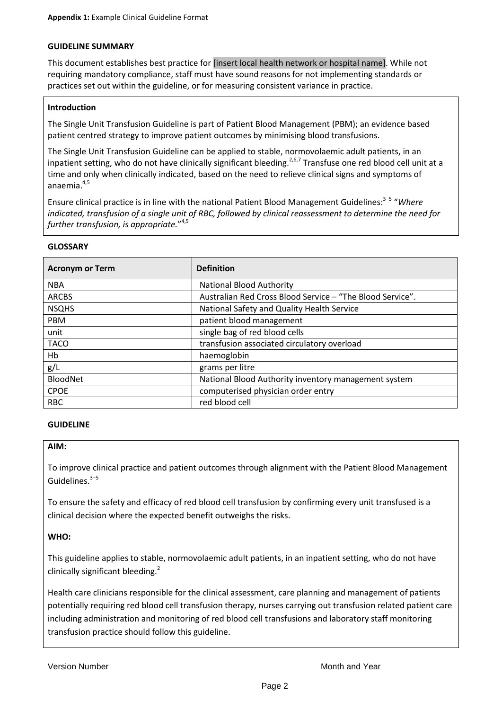#### **GUIDELINE SUMMARY**

This document establishes best practice for [insert local health network or hospital name]. While not requiring mandatory compliance, staff must have sound reasons for not implementing standards or practices set out within the guideline, or for measuring consistent variance in practice.

## **Introduction**

The Single Unit Transfusion Guideline is part of Patient Blood Management (PBM); an evidence based patient centred strategy to improve patient outcomes by minimising blood transfusions.

The Single Unit Transfusion Guideline can be applied to stable, normovolaemic adult patients, in an inpatient setting, who do not have clinically significant bleeding.<sup>2,6,7</sup> Transfuse one red blood cell unit at a time and only when clinically indicated, based on the need to relieve clinical signs and symptoms of anaemia. 4,5

Ensure clinical practice is in line with the national Patient Blood Management Guidelines: 3–5 "*Where indicated, transfusion of a single unit of RBC, followed by clinical reassessment to determine the need for further transfusion, is appropriate.*" 4,5

#### **GLOSSARY**

| <b>Acronym or Term</b> | <b>Definition</b>                                         |
|------------------------|-----------------------------------------------------------|
| <b>NBA</b>             | <b>National Blood Authority</b>                           |
| <b>ARCBS</b>           | Australian Red Cross Blood Service - "The Blood Service". |
| <b>NSQHS</b>           | National Safety and Quality Health Service                |
| PBM                    | patient blood management                                  |
| unit                   | single bag of red blood cells                             |
| <b>TACO</b>            | transfusion associated circulatory overload               |
| Hb                     | haemoglobin                                               |
| g/L                    | grams per litre                                           |
| <b>BloodNet</b>        | National Blood Authority inventory management system      |
| <b>CPOE</b>            | computerised physician order entry                        |
| <b>RBC</b>             | red blood cell                                            |

#### **GUIDELINE**

#### **AIM:**

To improve clinical practice and patient outcomes through alignment with the Patient Blood Management Guidelines.<sup>3-5</sup>

To ensure the safety and efficacy of red blood cell transfusion by confirming every unit transfused is a clinical decision where the expected benefit outweighs the risks.

## **WHO:**

This guideline applies to stable, normovolaemic adult patients, in an inpatient setting, who do not have clinically significant bleeding.<sup>2</sup>

Health care clinicians responsible for the clinical assessment, care planning and management of patients potentially requiring red blood cell transfusion therapy, nurses carrying out transfusion related patient care including administration and monitoring of red blood cell transfusions and laboratory staff monitoring transfusion practice should follow this guideline.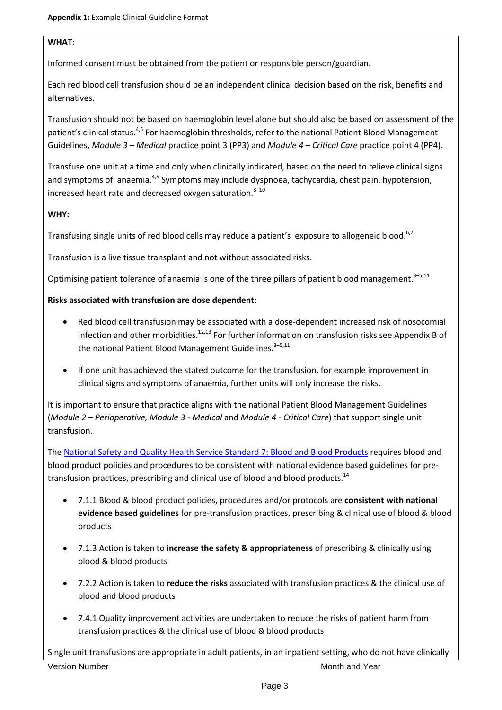# **WHAT:**

Informed consent must be obtained from the patient or responsible person/guardian.

Each red blood cell transfusion should be an independent clinical decision based on the risk, benefits and alternatives.

Transfusion should not be based on haemoglobin level alone but should also be based on assessment of the patient's clinical status.<sup>4,5</sup> For haemoglobin thresholds, refer to the national Patient Blood Management Guidelines, *Module 3 – Medical* practice point 3 (PP3) and *Module 4 – Critical Care* practice point 4 (PP4).

Transfuse one unit at a time and only when clinically indicated, based on the need to relieve clinical signs and symptoms of anaemia.<sup>4,5</sup> Symptoms may include dyspnoea, tachycardia, chest pain, hypotension, increased heart rate and decreased oxygen saturation. 8–10

# **WHY:**

Transfusing single units of red blood cells may reduce a patient's exposure to allogeneic blood.<sup>6,7</sup>

Transfusion is a live tissue transplant and not without associated risks.

Optimising patient tolerance of anaemia is one of the three pillars of patient blood management.<sup>3-5,11</sup>

# **Risks associated with transfusion are dose dependent:**

- Red blood cell transfusion may be associated with a dose-dependent increased risk of nosocomial infection and other morbidities. $12,13$  For further information on transfusion risks see Appendix B of the national Patient Blood Management Guidelines.<sup>3-5,11</sup>
- If one unit has achieved the stated outcome for the transfusion, for example improvement in clinical signs and symptoms of anaemia, further units will only increase the risks.

It is important to ensure that practice aligns with the national Patient Blood Management Guidelines (*Module 2 – Perioperative, Module 3 - Medical* and *Module 4 - Critical Care*) that support single unit transfusion.

The [National Safety and Quality Health Service Standard 7:](http://www.safetyandquality.gov.au/wp-content/uploads/2012/10/Standard7_Oct_2012_WEB.pdf) Blood and Blood Products requires blood and blood product policies and procedures to be consistent with national evidence based guidelines for pretransfusion practices, prescribing and clinical use of blood and blood products.<sup>14</sup>

- 7.1.1 Blood & blood product policies, procedures and/or protocols are **consistent with national evidence based guidelines** for pre-transfusion practices, prescribing & clinical use of blood & blood products
- 7.1.3 Action is taken to **increase the safety & appropriateness** of prescribing & clinically using blood & blood products
- 7.2.2 Action is taken to **reduce the risks** associated with transfusion practices & the clinical use of blood and blood products
- 7.4.1 Quality improvement activities are undertaken to reduce the risks of patient harm from transfusion practices & the clinical use of blood & blood products

Version Number Month and Year Month and Year Month and Year Month and Year Month and Year Month and Year Month Single unit transfusions are appropriate in adult patients, in an inpatient setting, who do not have clinically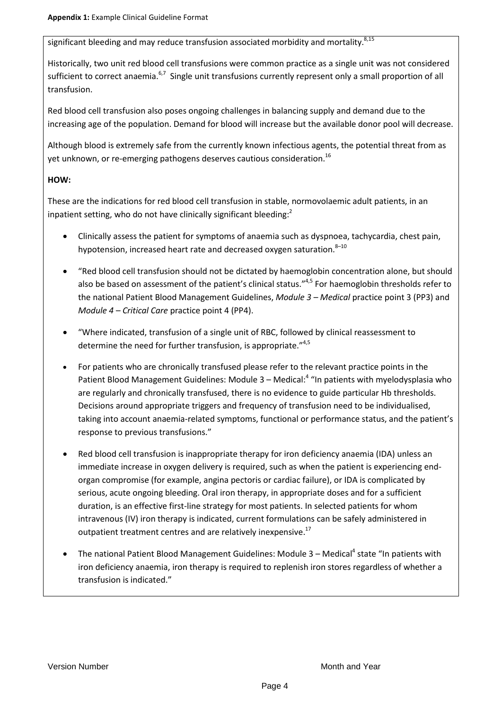significant bleeding and may reduce transfusion associated morbidity and mortality. $8,15$ 

Historically, two unit red blood cell transfusions were common practice as a single unit was not considered sufficient to correct anaemia.<sup>6,7</sup> Single unit transfusions currently represent only a small proportion of all transfusion.

Red blood cell transfusion also poses ongoing challenges in balancing supply and demand due to the increasing age of the population. Demand for blood will increase but the available donor pool will decrease.

Although blood is extremely safe from the currently known infectious agents, the potential threat from as yet unknown, or re-emerging pathogens deserves cautious consideration.<sup>16</sup>

# **HOW:**

These are the indications for red blood cell transfusion in stable, normovolaemic adult patients, in an inpatient setting, who do not have clinically significant bleeding:<sup>2</sup>

- Clinically assess the patient for symptoms of anaemia such as dyspnoea, tachycardia, chest pain, hypotension, increased heart rate and decreased oxygen saturation.<sup>8-10</sup>
- "Red blood cell transfusion should not be dictated by haemoglobin concentration alone, but should also be based on assessment of the patient's clinical status."<sup>4,5</sup> For haemoglobin thresholds refer to the national Patient Blood Management Guidelines, *Module 3 – Medical* practice point 3 (PP3) and *Module 4 – Critical Care* practice point 4 (PP4).
- "Where indicated, transfusion of a single unit of RBC, followed by clinical reassessment to determine the need for further transfusion, is appropriate."4,5
- For patients who are chronically transfused please refer to the relevant practice points in the Patient Blood Management Guidelines: Module 3 - Medical:<sup>4</sup> "In patients with myelodysplasia who are regularly and chronically transfused, there is no evidence to guide particular Hb thresholds. Decisions around appropriate triggers and frequency of transfusion need to be individualised, taking into account anaemia-related symptoms, functional or performance status, and the patient's response to previous transfusions."
- Red blood cell transfusion is inappropriate therapy for iron deficiency anaemia (IDA) unless an immediate increase in oxygen delivery is required, such as when the patient is experiencing endorgan compromise (for example, angina pectoris or cardiac failure), or IDA is complicated by serious, acute ongoing bleeding. Oral iron therapy, in appropriate doses and for a sufficient duration, is an effective first-line strategy for most patients. In selected patients for whom intravenous (IV) iron therapy is indicated, current formulations can be safely administered in outpatient treatment centres and are relatively inexpensive.<sup>17</sup>
- The national Patient Blood Management Guidelines: Module 3 Medical<sup>4</sup> state "In patients with iron deficiency anaemia, iron therapy is required to replenish iron stores regardless of whether a transfusion is indicated."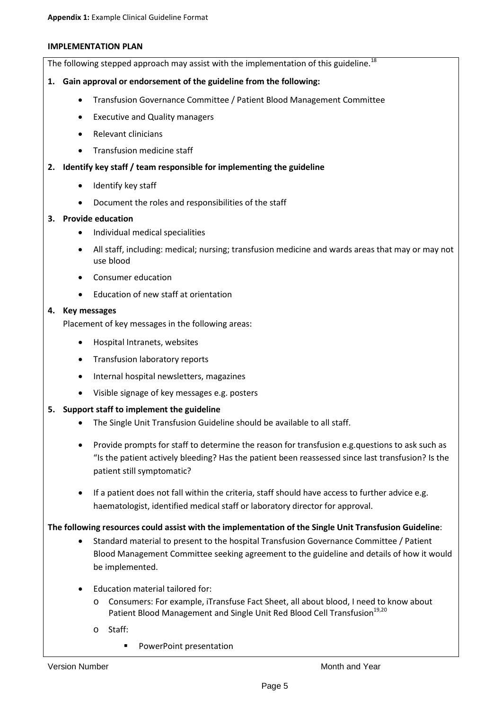#### **IMPLEMENTATION PLAN**

The following stepped approach may assist with the implementation of this guideline.<sup>18</sup>

## **1. Gain approval or endorsement of the guideline from the following:**

- Transfusion Governance Committee / Patient Blood Management Committee
- Executive and Quality managers
- Relevant clinicians
- Transfusion medicine staff

## **2. Identify key staff / team responsible for implementing the guideline**

- Identify key staff
- Document the roles and responsibilities of the staff

## **3. Provide education**

- Individual medical specialities
- All staff, including: medical; nursing; transfusion medicine and wards areas that may or may not use blood
- Consumer education
- Education of new staff at orientation

#### **4. Key messages**

Placement of key messages in the following areas:

- Hospital Intranets, websites
- Transfusion laboratory reports
- Internal hospital newsletters, magazines
- Visible signage of key messages e.g. posters

## **5. Support staff to implement the guideline**

- The Single Unit Transfusion Guideline should be available to all staff.
- Provide prompts for staff to determine the reason for transfusion e.g.questions to ask such as "Is the patient actively bleeding? Has the patient been reassessed since last transfusion? Is the patient still symptomatic?
- If a patient does not fall within the criteria, staff should have access to further advice e.g. haematologist, identified medical staff or laboratory director for approval.

## **The following resources could assist with the implementation of the Single Unit Transfusion Guideline**:

- Standard material to present to the hospital Transfusion Governance Committee / Patient Blood Management Committee seeking agreement to the guideline and details of how it would be implemented.
- Education material tailored for:
	- o Consumers: For example, iTransfuse Fact Sheet, all about blood, I need to know about Patient Blood Management and Single Unit Red Blood Cell Transfusion<sup>19,20</sup>
	- o Staff:
		- **PowerPoint presentation**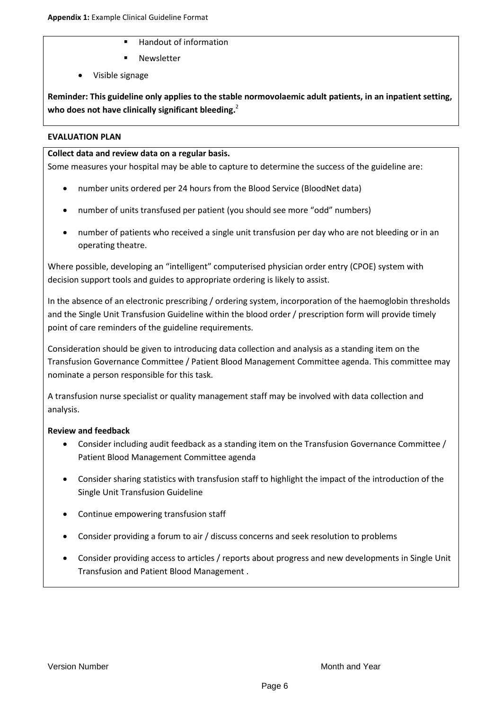- **Handout of information**
- **Newsletter**
- Visible signage

**Reminder: This guideline only applies to the stable normovolaemic adult patients, in an inpatient setting, who does not have clinically significant bleeding.**<sup>2</sup>

## **EVALUATION PLAN**

## **Collect data and review data on a regular basis.**

Some measures your hospital may be able to capture to determine the success of the guideline are:

- number units ordered per 24 hours from the Blood Service (BloodNet data)
- number of units transfused per patient (you should see more "odd" numbers)
- number of patients who received a single unit transfusion per day who are not bleeding or in an operating theatre.

Where possible, developing an "intelligent" computerised physician order entry (CPOE) system with decision support tools and guides to appropriate ordering is likely to assist.

In the absence of an electronic prescribing / ordering system, incorporation of the haemoglobin thresholds and the Single Unit Transfusion Guideline within the blood order / prescription form will provide timely point of care reminders of the guideline requirements.

Consideration should be given to introducing data collection and analysis as a standing item on the Transfusion Governance Committee / Patient Blood Management Committee agenda. This committee may nominate a person responsible for this task.

A transfusion nurse specialist or quality management staff may be involved with data collection and analysis.

# **Review and feedback**

- Consider including audit feedback as a standing item on the Transfusion Governance Committee / Patient Blood Management Committee agenda
- Consider sharing statistics with transfusion staff to highlight the impact of the introduction of the Single Unit Transfusion Guideline
- Continue empowering transfusion staff
- Consider providing a forum to air / discuss concerns and seek resolution to problems
- Consider providing access to articles / reports about progress and new developments in Single Unit Transfusion and Patient Blood Management .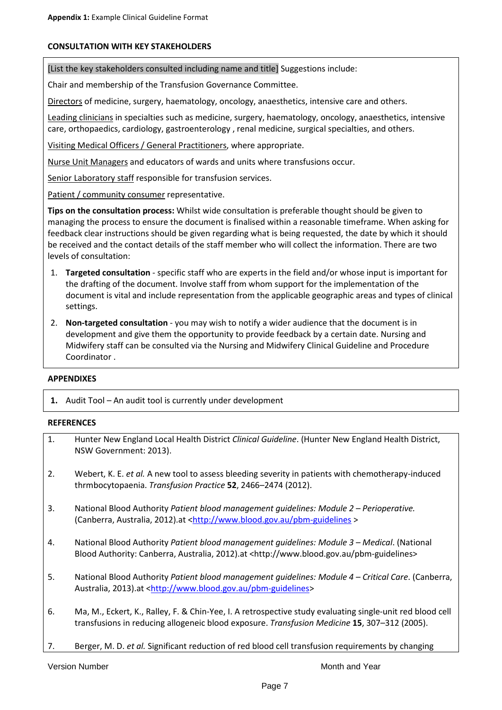## **CONSULTATION WITH KEY STAKEHOLDERS**

[List the key stakeholders consulted including name and title] Suggestions include:

Chair and membership of the Transfusion Governance Committee.

Directors of medicine, surgery, haematology, oncology, anaesthetics, intensive care and others.

Leading clinicians in specialties such as medicine, surgery, haematology, oncology, anaesthetics, intensive care, orthopaedics, cardiology, gastroenterology , renal medicine, surgical specialties, and others.

Visiting Medical Officers / General Practitioners, where appropriate.

Nurse Unit Managers and educators of wards and units where transfusions occur.

Senior Laboratory staff responsible for transfusion services.

Patient / community consumer representative.

**Tips on the consultation process:** Whilst wide consultation is preferable thought should be given to managing the process to ensure the document is finalised within a reasonable timeframe. When asking for feedback clear instructions should be given regarding what is being requested, the date by which it should be received and the contact details of the staff member who will collect the information. There are two levels of consultation:

- 1. **Targeted consultation** specific staff who are experts in the field and/or whose input is important for the drafting of the document. Involve staff from whom support for the implementation of the document is vital and include representation from the applicable geographic areas and types of clinical settings.
- 2. **Non-targeted consultation** you may wish to notify a wider audience that the document is in development and give them the opportunity to provide feedback by a certain date. Nursing and Midwifery staff can be consulted via the Nursing and Midwifery Clinical Guideline and Procedure Coordinator .

#### **APPENDIXES**

**1.** Audit Tool – An audit tool is currently under development

#### **REFERENCES**

| 1. | Hunter New England Local Health District Clinical Guideline. (Hunter New England Health District,<br>NSW Government: 2013).                                                                               |
|----|-----------------------------------------------------------------------------------------------------------------------------------------------------------------------------------------------------------|
| 2. | Webert, K. E. et al. A new tool to assess bleeding severity in patients with chemotherapy-induced<br>thrmbocytopaenia. Transfusion Practice 52, 2466-2474 (2012).                                         |
| 3. | National Blood Authority Patient blood management quidelines: Module 2 - Perioperative.<br>(Canberra, Australia, 2012).at <http: pbm-guidelines="" www.blood.gov.au=""></http:>                           |
| 4. | National Blood Authority Patient blood management quidelines: Module 3 - Medical. (National<br>Blood Authority: Canberra, Australia, 2012).at <http: pbm-guidelines="" www.blood.gov.au=""></http:>       |
| 5. | National Blood Authority Patient blood management quidelines: Module 4 – Critical Care. (Canberra,<br>Australia, 2013).at <http: pbm-guidelines="" www.blood.gov.au=""></http:>                           |
| 6. | Ma, M., Eckert, K., Ralley, F. & Chin-Yee, I. A retrospective study evaluating single-unit red blood cell<br>transfusions in reducing allogeneic blood exposure. Transfusion Medicine 15, 307-312 (2005). |
| 7. | Berger, M. D. et al. Significant reduction of red blood cell transfusion requirements by changing                                                                                                         |

Version Number National According to the Month and Year Month and Year Month and Year Month and Year Month and Year